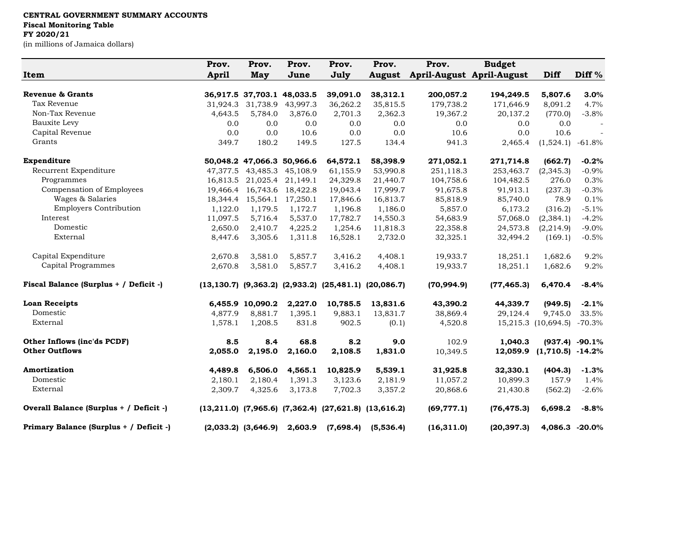## **CENTRAL GOVERNMENT SUMMARY ACCOUNTS Fiscal Monitoring Table FY 2020/21**

(in millions of Jamaica dollars)

|                                         | Prov.        | Prov.                         | Prov.             | Prov.                                                               | Prov.         | Prov.       | <b>Budget</b>             |                     |                   |
|-----------------------------------------|--------------|-------------------------------|-------------------|---------------------------------------------------------------------|---------------|-------------|---------------------------|---------------------|-------------------|
| Item                                    | <b>April</b> | May                           | June              | July                                                                | <b>August</b> |             | April-August April-August | Diff                | Diff <sup>%</sup> |
|                                         |              |                               |                   |                                                                     |               |             |                           |                     |                   |
| <b>Revenue &amp; Grants</b>             |              | 36,917.5 37,703.1 48,033.5    |                   | 39,091.0                                                            | 38,312.1      | 200,057.2   | 194,249.5                 | 5,807.6             | 3.0%              |
| Tax Revenue                             | 31,924.3     | 31,738.9                      | 43,997.3          | 36,262.2                                                            | 35,815.5      | 179,738.2   | 171,646.9                 | 8,091.2             | 4.7%              |
| Non-Tax Revenue                         | 4.643.5      | 5,784.0                       | 3,876.0           | 2,701.3                                                             | 2,362.3       | 19,367.2    | 20,137.2                  | (770.0)             | $-3.8%$           |
| Bauxite Levy                            | 0.0          | 0.0                           | 0.0               | 0.0                                                                 | 0.0           | 0.0         | 0.0                       | 0.0                 |                   |
| Capital Revenue                         | 0.0          | 0.0                           | 10.6              | 0.0                                                                 | 0.0           | 10.6        | 0.0                       | 10.6                |                   |
| Grants                                  | 349.7        | 180.2                         | 149.5             | 127.5                                                               | 134.4         | 941.3       | 2,465.4                   | (1,524.1)           | $-61.8\%$         |
| Expenditure                             |              | 50,048.2 47,066.3 50,966.6    |                   | 64,572.1                                                            | 58,398.9      | 271,052.1   | 271,714.8                 | (662.7)             | $-0.2%$           |
| Recurrent Expenditure                   |              | 47, 377.5 43, 485.3 45, 108.9 |                   | 61,155.9                                                            | 53,990.8      | 251,118.3   | 253,463.7                 | (2,345.3)           | $-0.9%$           |
| Programmes                              |              | 16,813.5 21,025.4 21,149.1    |                   | 24,329.8                                                            | 21,440.7      | 104,758.6   | 104,482.5                 | 276.0               | 0.3%              |
| Compensation of Employees               | 19,466.4     |                               | 16,743.6 18,422.8 | 19,043.4                                                            | 17,999.7      | 91,675.8    | 91,913.1                  | (237.3)             | $-0.3%$           |
| Wages & Salaries                        | 18,344.4     | 15,564.1                      | 17,250.1          | 17,846.6                                                            | 16,813.7      | 85,818.9    | 85,740.0                  | 78.9                | 0.1%              |
| <b>Employers Contribution</b>           | 1,122.0      | 1,179.5                       | 1,172.7           | 1,196.8                                                             | 1,186.0       | 5,857.0     | 6,173.2                   | (316.2)             | $-5.1%$           |
| Interest                                | 11,097.5     | 5,716.4                       | 5,537.0           | 17,782.7                                                            | 14,550.3      | 54,683.9    | 57,068.0                  | (2, 384.1)          | $-4.2%$           |
| Domestic                                | 2,650.0      | 2,410.7                       | 4,225.2           | 1,254.6                                                             | 11,818.3      | 22,358.8    | 24,573.8                  | (2,214.9)           | $-9.0%$           |
| External                                | 8,447.6      | 3,305.6                       | 1,311.8           | 16,528.1                                                            | 2,732.0       | 32,325.1    | 32,494.2                  | (169.1)             | $-0.5%$           |
| Capital Expenditure                     | 2,670.8      | 3,581.0                       | 5,857.7           | 3,416.2                                                             | 4,408.1       | 19,933.7    | 18,251.1                  | 1,682.6             | 9.2%              |
| Capital Programmes                      | 2,670.8      | 3,581.0                       | 5,857.7           | 3,416.2                                                             | 4,408.1       | 19,933.7    | 18,251.1                  | 1,682.6             | 9.2%              |
| Fiscal Balance (Surplus + / Deficit -)  |              |                               |                   | $(13, 130.7)$ $(9, 363.2)$ $(2, 933.2)$ $(25, 481.1)$ $(20, 086.7)$ |               | (70, 994.9) | (77, 465.3)               | 6,470.4             | $-8.4%$           |
| <b>Loan Receipts</b>                    |              | 6,455.9 10,090.2              | 2,227.0           | 10,785.5                                                            | 13,831.6      | 43,390.2    | 44,339.7                  | (949.5)             | $-2.1%$           |
| Domestic                                | 4,877.9      | 8,881.7                       | 1,395.1           | 9,883.1                                                             | 13,831.7      | 38,869.4    | 29,124.4                  | 9,745.0             | 33.5%             |
| External                                | 1,578.1      | 1,208.5                       | 831.8             | 902.5                                                               | (0.1)         | 4,520.8     |                           | 15,215.3 (10,694.5) | $-70.3%$          |
| <b>Other Inflows (inc'ds PCDF)</b>      | 8.5          | 8.4                           | 68.8              | 8.2                                                                 | 9.0           | 102.9       | 1.040.3                   |                     | $(937.4) -90.1%$  |
| <b>Other Outflows</b>                   | 2,055.0      | 2,195.0                       | 2,160.0           | 2,108.5                                                             | 1,831.0       | 10,349.5    | 12,059.9                  | $(1,710.5)$ -14.2%  |                   |
| Amortization                            | 4,489.8      | 6,506.0                       | 4,565.1           | 10,825.9                                                            | 5,539.1       | 31,925.8    | 32,330.1                  | (404.3)             | $-1.3%$           |
| Domestic                                | 2,180.1      | 2,180.4                       | 1,391.3           | 3,123.6                                                             | 2,181.9       | 11,057.2    | 10,899.3                  | 157.9               | 1.4%              |
| External                                | 2,309.7      | 4,325.6                       | 3,173.8           | 7,702.3                                                             | 3,357.2       | 20,868.6    | 21,430.8                  | (562.2)             | $-2.6%$           |
| Overall Balance (Surplus + / Deficit -) |              |                               |                   | $(13,211.0)$ $(7,965.6)$ $(7,362.4)$ $(27,621.8)$ $(13,616.2)$      |               | (69, 777.1) | (76, 475.3)               | 6,698.2             | $-8.8%$           |
| Primary Balance (Surplus + / Deficit -) |              | $(2,033.2)$ $(3,646.9)$       | 2,603.9           | (7,698.4)                                                           | (5,536.4)     | (16, 311.0) | (20, 397.3)               | 4,086.3 -20.0%      |                   |